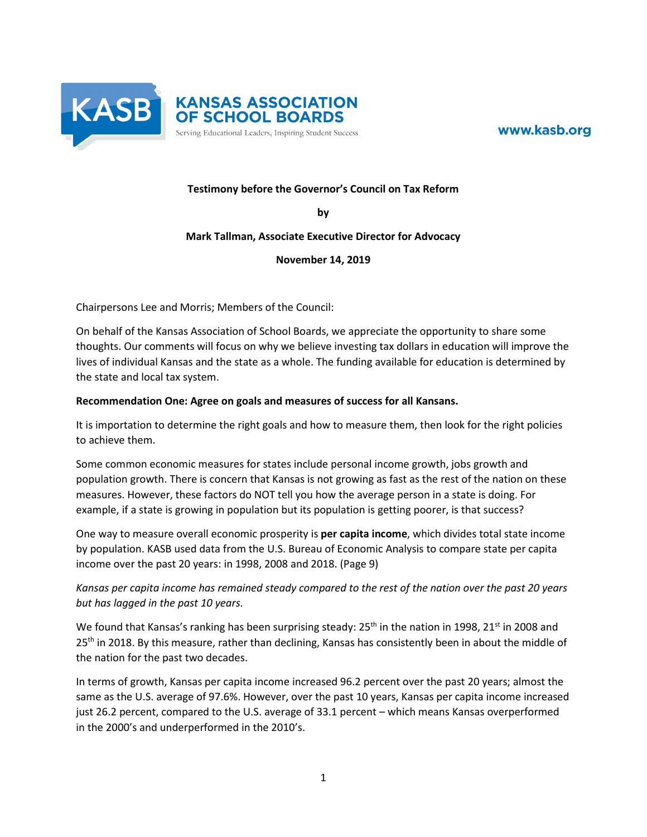

www.kasb.org

### **Testimony before the Governor's Council on Tax Reform**

**by**

### **Mark Tallman, Associate Executive Director for Advocacy**

**November 14, 2019**

Chairpersons Lee and Morris; Members of the Council:

On behalf of the Kansas Association of School Boards, we appreciate the opportunity to share some thoughts. Our comments will focus on why we believe investing tax dollars in education will improve the lives of individual Kansas and the state as a whole. The funding available for education is determined by the state and local tax system.

### **Recommendation One: Agree on goals and measures of success for all Kansans.**

It is importation to determine the right goals and how to measure them, then look for the right policies to achieve them.

Some common economic measures for states include personal income growth, jobs growth and population growth. There is concern that Kansas is not growing as fast as the rest of the nation on these measures. However, these factors do NOT tell you how the average person in a state is doing. For example, if a state is growing in population but its population is getting poorer, is that success?

One way to measure overall economic prosperity is **per capita income**, which divides total state income by population. KASB used data from the U.S. Bureau of Economic Analysis to compare state per capita income over the past 20 years: in 1998, 2008 and 2018. (Page 9)

# *Kansas per capita income has remained steady compared to the rest of the nation over the past 20 years but has lagged in the past 10 years.*

We found that Kansas's ranking has been surprising steady:  $25<sup>th</sup>$  in the nation in 1998,  $21<sup>st</sup>$  in 2008 and 25<sup>th</sup> in 2018. By this measure, rather than declining, Kansas has consistently been in about the middle of the nation for the past two decades.

In terms of growth, Kansas per capita income increased 96.2 percent over the past 20 years; almost the same as the U.S. average of 97.6%. However, over the past 10 years, Kansas per capita income increased just 26.2 percent, compared to the U.S. average of 33.1 percent – which means Kansas overperformed in the 2000's and underperformed in the 2010's.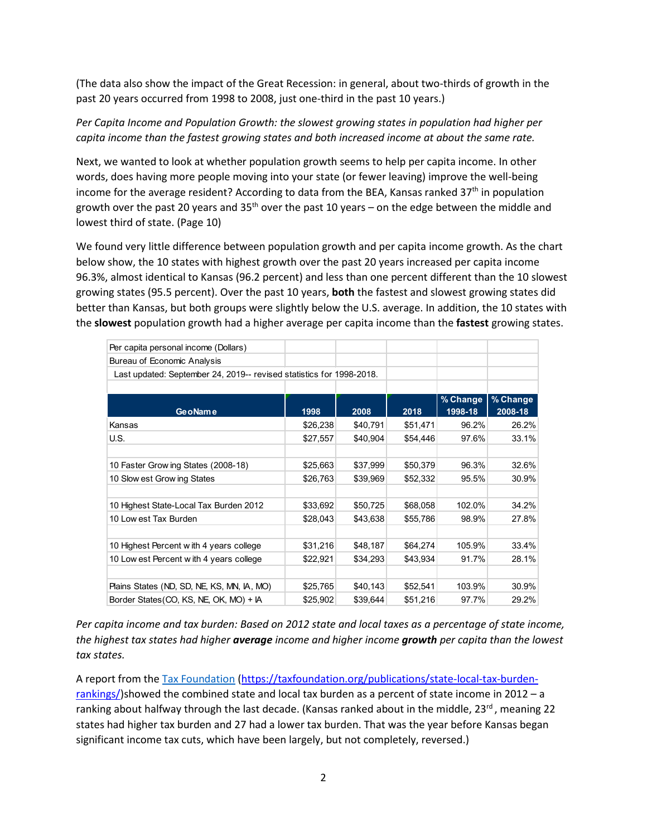(The data also show the impact of the Great Recession: in general, about two-thirds of growth in the past 20 years occurred from 1998 to 2008, just one-third in the past 10 years.)

## *Per Capita Income and Population Growth: the slowest growing states in population had higher per capita income than the fastest growing states and both increased income at about the same rate.*

Next, we wanted to look at whether population growth seems to help per capita income. In other words, does having more people moving into your state (or fewer leaving) improve the well-being income for the average resident? According to data from the BEA, Kansas ranked 37<sup>th</sup> in population growth over the past 20 years and  $35<sup>th</sup>$  over the past 10 years – on the edge between the middle and lowest third of state. (Page 10)

We found very little difference between population growth and per capita income growth. As the chart below show, the 10 states with highest growth over the past 20 years increased per capita income 96.3%, almost identical to Kansas (96.2 percent) and less than one percent different than the 10 slowest growing states (95.5 percent). Over the past 10 years, **both** the fastest and slowest growing states did better than Kansas, but both groups were slightly below the U.S. average. In addition, the 10 states with the **slowest** population growth had a higher average per capita income than the **fastest** growing states.

| Per capita personal income (Dollars)                                 |          |          |          |          |          |
|----------------------------------------------------------------------|----------|----------|----------|----------|----------|
| <b>Bureau of Economic Analysis</b>                                   |          |          |          |          |          |
| Last updated: September 24, 2019-- revised statistics for 1998-2018. |          |          |          |          |          |
|                                                                      |          |          |          |          |          |
|                                                                      |          |          |          | % Change | % Change |
| <b>GeoName</b>                                                       | 1998     | 2008     | 2018     | 1998-18  | 2008-18  |
| Kansas                                                               | \$26,238 | \$40,791 | \$51,471 | 96.2%    | 26.2%    |
| U.S.                                                                 | \$27,557 | \$40,904 | \$54,446 | 97.6%    | 33.1%    |
|                                                                      |          |          |          |          |          |
| 10 Faster Grow ing States (2008-18)                                  | \$25,663 | \$37,999 | \$50,379 | 96.3%    | 32.6%    |
| 10 Slow est Grow ing States                                          | \$26,763 | \$39,969 | \$52,332 | 95.5%    | 30.9%    |
|                                                                      |          |          |          |          |          |
| 10 Highest State-Local Tax Burden 2012                               | \$33,692 | \$50,725 | \$68,058 | 102.0%   | 34.2%    |
| 10 Low est Tax Burden                                                | \$28,043 | \$43,638 | \$55,786 | 98.9%    | 27.8%    |
|                                                                      |          |          |          |          |          |
| 10 Highest Percent with 4 years college                              | \$31,216 | \$48,187 | \$64,274 | 105.9%   | 33.4%    |
| 10 Low est Percent with 4 years college                              | \$22,921 | \$34,293 | \$43,934 | 91.7%    | 28.1%    |
|                                                                      |          |          |          |          |          |
| Plains States (ND, SD, NE, KS, MN, IA, MO)                           | \$25,765 | \$40,143 | \$52,541 | 103.9%   | 30.9%    |
| Border States (CO, KS, NE, OK, MO) + IA                              | \$25,902 | \$39,644 | \$51,216 | 97.7%    | 29.2%    |

*Per capita income and tax burden: Based on 2012 state and local taxes as a percentage of state income, the highest tax states had higher average income and higher income growth per capita than the lowest tax states.*

A report from the [Tax Foundation](https://taxfoundation.org/publications/state-local-tax-burden-rankings/) [\(https://taxfoundation.org/publications/state-local-tax-burden](https://taxfoundation.org/publications/state-local-tax-burden-rankings/)[rankings/\)](https://taxfoundation.org/publications/state-local-tax-burden-rankings/)showed the combined state and local tax burden as a percent of state income in 2012 – a ranking about halfway through the last decade. (Kansas ranked about in the middle, 23rd, meaning 22 states had higher tax burden and 27 had a lower tax burden. That was the year before Kansas began significant income tax cuts, which have been largely, but not completely, reversed.)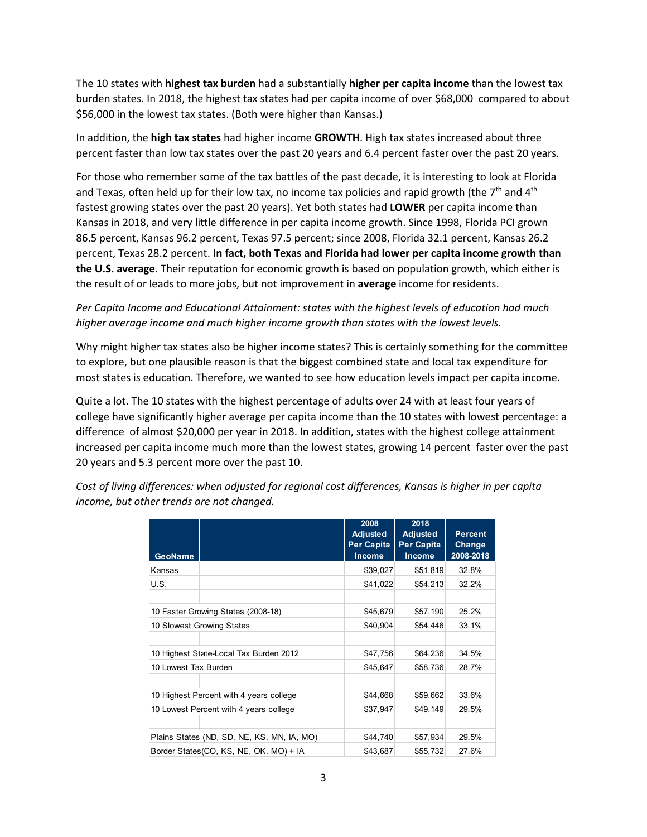The 10 states with **highest tax burden** had a substantially **higher per capita income** than the lowest tax burden states. In 2018, the highest tax states had per capita income of over \$68,000 compared to about \$56,000 in the lowest tax states. (Both were higher than Kansas.)

In addition, the **high tax states** had higher income **GROWTH**. High tax states increased about three percent faster than low tax states over the past 20 years and 6.4 percent faster over the past 20 years.

For those who remember some of the tax battles of the past decade, it is interesting to look at Florida and Texas, often held up for their low tax, no income tax policies and rapid growth (the  $7<sup>th</sup>$  and  $4<sup>th</sup>$ fastest growing states over the past 20 years). Yet both states had **LOWER** per capita income than Kansas in 2018, and very little difference in per capita income growth. Since 1998, Florida PCI grown 86.5 percent, Kansas 96.2 percent, Texas 97.5 percent; since 2008, Florida 32.1 percent, Kansas 26.2 percent, Texas 28.2 percent. **In fact, both Texas and Florida had lower per capita income growth than the U.S. average**. Their reputation for economic growth is based on population growth, which either is the result of or leads to more jobs, but not improvement in **average** income for residents.

## *Per Capita Income and Educational Attainment: states with the highest levels of education had much higher average income and much higher income growth than states with the lowest levels.*

Why might higher tax states also be higher income states? This is certainly something for the committee to explore, but one plausible reason is that the biggest combined state and local tax expenditure for most states is education. Therefore, we wanted to see how education levels impact per capita income.

Quite a lot. The 10 states with the highest percentage of adults over 24 with at least four years of college have significantly higher average per capita income than the 10 states with lowest percentage: a difference of almost \$20,000 per year in 2018. In addition, states with the highest college attainment increased per capita income much more than the lowest states, growing 14 percent faster over the past 20 years and 5.3 percent more over the past 10.

|                      |                                            | 2008<br><b>Adjusted</b><br>Per Capita | 2018<br>Adjusted<br><b>Per Capita</b> | Percent<br>Change |
|----------------------|--------------------------------------------|---------------------------------------|---------------------------------------|-------------------|
| <b>GeoName</b>       |                                            | <b>Income</b>                         | <b>Income</b>                         | 2008-2018         |
| Kansas               |                                            | \$39,027                              | \$51,819                              | 32.8%             |
| U.S.                 |                                            | \$41,022                              | \$54,213                              | 32.2%             |
|                      |                                            |                                       |                                       |                   |
|                      | 10 Faster Growing States (2008-18)         | \$45,679                              | \$57,190                              | 25.2%             |
|                      | 10 Slowest Growing States                  | \$40,904                              | \$54,446                              | 33.1%             |
|                      |                                            |                                       |                                       |                   |
|                      | 10 Highest State-Local Tax Burden 2012     | \$47,756                              | \$64,236                              | 34.5%             |
| 10 Lowest Tax Burden |                                            | \$45,647                              | \$58,736                              | 28.7%             |
|                      |                                            |                                       |                                       |                   |
|                      | 10 Highest Percent with 4 years college    | \$44,668                              | \$59,662                              | 33.6%             |
|                      | 10 Lowest Percent with 4 years college     | \$37,947                              | \$49,149                              | 29.5%             |
|                      |                                            |                                       |                                       |                   |
|                      | Plains States (ND, SD, NE, KS, MN, IA, MO) | \$44,740                              | \$57,934                              | 29.5%             |
|                      | Border States (CO, KS, NE, OK, MO) + IA    | \$43,687                              | \$55,732                              | 27.6%             |

*Cost of living differences: when adjusted for regional cost differences, Kansas is higher in per capita income, but other trends are not changed.*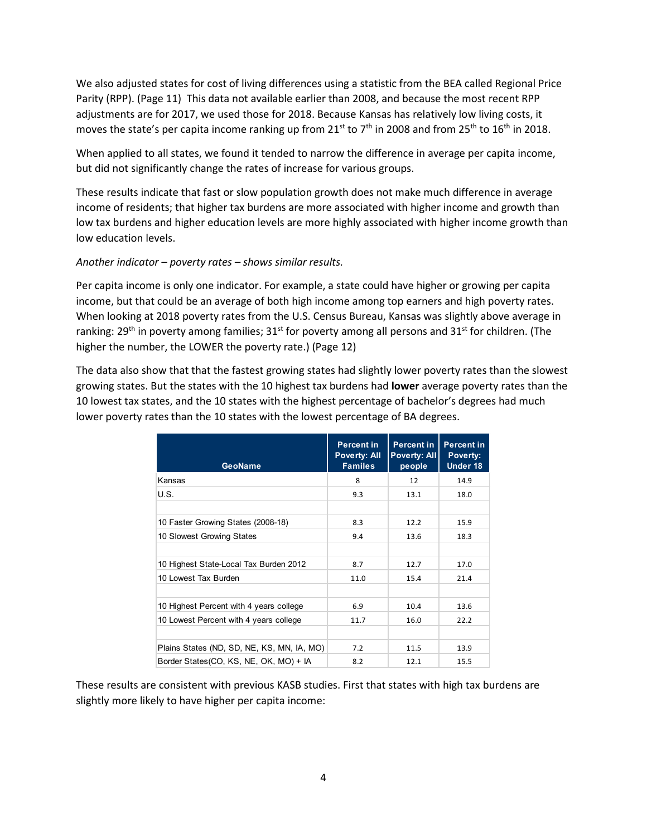We also adjusted states for cost of living differences using a statistic from the BEA called Regional Price Parity (RPP). (Page 11) This data not available earlier than 2008, and because the most recent RPP adjustments are for 2017, we used those for 2018. Because Kansas has relatively low living costs, it moves the state's per capita income ranking up from 21<sup>st</sup> to 7<sup>th</sup> in 2008 and from 25<sup>th</sup> to 16<sup>th</sup> in 2018.

When applied to all states, we found it tended to narrow the difference in average per capita income, but did not significantly change the rates of increase for various groups.

These results indicate that fast or slow population growth does not make much difference in average income of residents; that higher tax burdens are more associated with higher income and growth than low tax burdens and higher education levels are more highly associated with higher income growth than low education levels.

*Another indicator – poverty rates – shows similar results.*

Per capita income is only one indicator. For example, a state could have higher or growing per capita income, but that could be an average of both high income among top earners and high poverty rates. When looking at 2018 poverty rates from the U.S. Census Bureau, Kansas was slightly above average in ranking: 29<sup>th</sup> in poverty among families; 31<sup>st</sup> for poverty among all persons and 31<sup>st</sup> for children. (The higher the number, the LOWER the poverty rate.) (Page 12)

The data also show that that the fastest growing states had slightly lower poverty rates than the slowest growing states. But the states with the 10 highest tax burdens had **lower** average poverty rates than the 10 lowest tax states, and the 10 states with the highest percentage of bachelor's degrees had much lower poverty rates than the 10 states with the lowest percentage of BA degrees.

| GeoName                                    | <b>Percent in</b><br><b>Poverty: All</b><br><b>Familes</b> | <b>Percent in</b><br><b>Poverty: All</b><br>people | <b>Percent in</b><br>Poverty:<br>Under 18 |
|--------------------------------------------|------------------------------------------------------------|----------------------------------------------------|-------------------------------------------|
| Kansas                                     | 8                                                          | 12                                                 | 14.9                                      |
| U.S.                                       | 9.3                                                        | 13.1                                               | 18.0                                      |
|                                            |                                                            |                                                    |                                           |
| 10 Faster Growing States (2008-18)         | 8.3                                                        | 12.2                                               | 15.9                                      |
| 10 Slowest Growing States                  | 9.4                                                        | 13.6                                               | 18.3                                      |
|                                            |                                                            |                                                    |                                           |
| 10 Highest State-Local Tax Burden 2012     | 8.7                                                        | 12.7                                               | 17.0                                      |
| 10 Lowest Tax Burden                       | 11.0                                                       | 15.4                                               | 21.4                                      |
|                                            |                                                            |                                                    |                                           |
| 10 Highest Percent with 4 years college    | 6.9                                                        | 10.4                                               | 13.6                                      |
| 10 Lowest Percent with 4 years college     | 11.7                                                       | 16.0                                               | 22.2                                      |
|                                            |                                                            |                                                    |                                           |
| Plains States (ND, SD, NE, KS, MN, IA, MO) | 7.2                                                        | 11.5                                               | 13.9                                      |
| Border States(CO, KS, NE, OK, MO) + IA     | 8.2                                                        | 12.1                                               | 15.5                                      |

These results are consistent with previous KASB studies. First that states with high tax burdens are slightly more likely to have higher per capita income: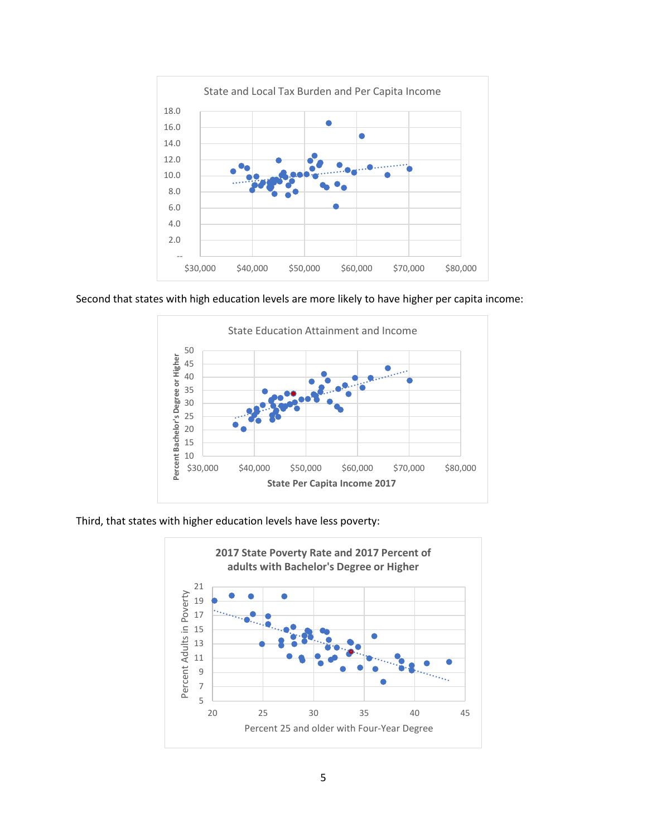

Second that states with high education levels are more likely to have higher per capita income:



Third, that states with higher education levels have less poverty:

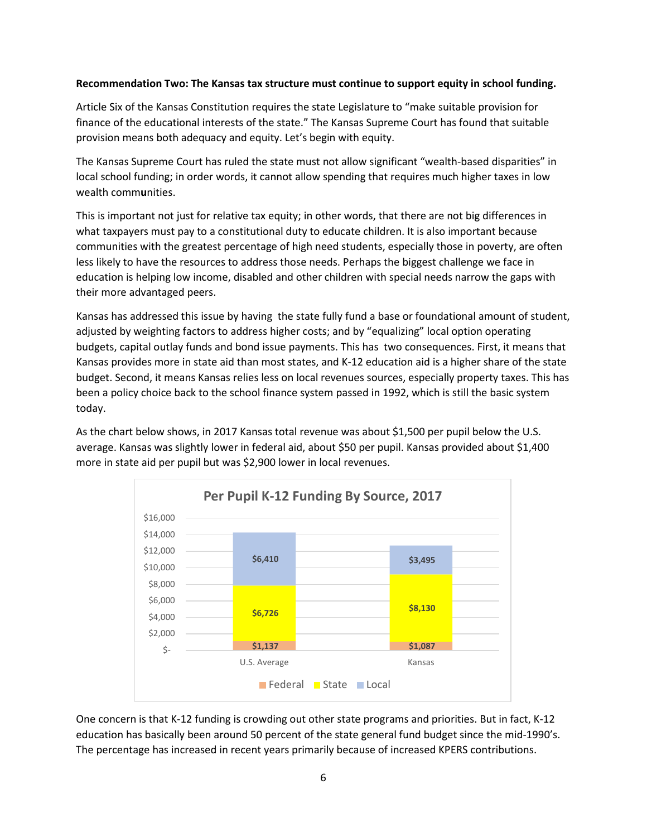#### **Recommendation Two: The Kansas tax structure must continue to support equity in school funding.**

Article Six of the Kansas Constitution requires the state Legislature to "make suitable provision for finance of the educational interests of the state." The Kansas Supreme Court has found that suitable provision means both adequacy and equity. Let's begin with equity.

The Kansas Supreme Court has ruled the state must not allow significant "wealth-based disparities" in local school funding; in order words, it cannot allow spending that requires much higher taxes in low wealth comm**u**nities.

This is important not just for relative tax equity; in other words, that there are not big differences in what taxpayers must pay to a constitutional duty to educate children. It is also important because communities with the greatest percentage of high need students, especially those in poverty, are often less likely to have the resources to address those needs. Perhaps the biggest challenge we face in education is helping low income, disabled and other children with special needs narrow the gaps with their more advantaged peers.

Kansas has addressed this issue by having the state fully fund a base or foundational amount of student, adjusted by weighting factors to address higher costs; and by "equalizing" local option operating budgets, capital outlay funds and bond issue payments. This has two consequences. First, it means that Kansas provides more in state aid than most states, and K-12 education aid is a higher share of the state budget. Second, it means Kansas relies less on local revenues sources, especially property taxes. This has been a policy choice back to the school finance system passed in 1992, which is still the basic system today.

As the chart below shows, in 2017 Kansas total revenue was about \$1,500 per pupil below the U.S. average. Kansas was slightly lower in federal aid, about \$50 per pupil. Kansas provided about \$1,400 more in state aid per pupil but was \$2,900 lower in local revenues.



One concern is that K-12 funding is crowding out other state programs and priorities. But in fact, K-12 education has basically been around 50 percent of the state general fund budget since the mid-1990's. The percentage has increased in recent years primarily because of increased KPERS contributions.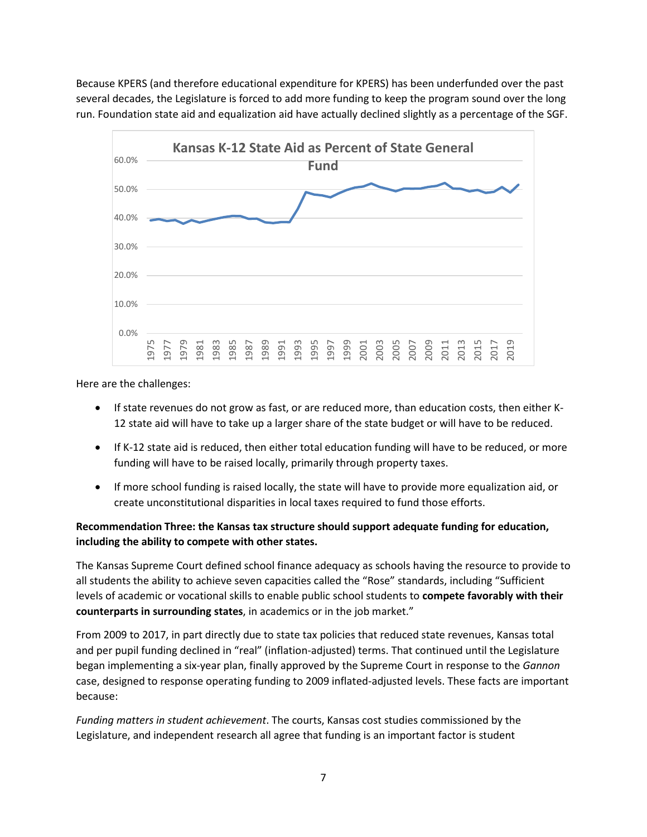Because KPERS (and therefore educational expenditure for KPERS) has been underfunded over the past several decades, the Legislature is forced to add more funding to keep the program sound over the long run. Foundation state aid and equalization aid have actually declined slightly as a percentage of the SGF.



Here are the challenges:

- If state revenues do not grow as fast, or are reduced more, than education costs, then either K-12 state aid will have to take up a larger share of the state budget or will have to be reduced.
- If K-12 state aid is reduced, then either total education funding will have to be reduced, or more funding will have to be raised locally, primarily through property taxes.
- If more school funding is raised locally, the state will have to provide more equalization aid, or create unconstitutional disparities in local taxes required to fund those efforts.

## **Recommendation Three: the Kansas tax structure should support adequate funding for education, including the ability to compete with other states.**

The Kansas Supreme Court defined school finance adequacy as schools having the resource to provide to all students the ability to achieve seven capacities called the "Rose" standards, including "Sufficient levels of academic or vocational skills to enable public school students to **compete favorably with their counterparts in surrounding states**, in academics or in the job market."

From 2009 to 2017, in part directly due to state tax policies that reduced state revenues, Kansas total and per pupil funding declined in "real" (inflation-adjusted) terms. That continued until the Legislature began implementing a six-year plan, finally approved by the Supreme Court in response to the *Gannon* case, designed to response operating funding to 2009 inflated-adjusted levels. These facts are important because:

*Funding matters in student achievement*. The courts, Kansas cost studies commissioned by the Legislature, and independent research all agree that funding is an important factor is student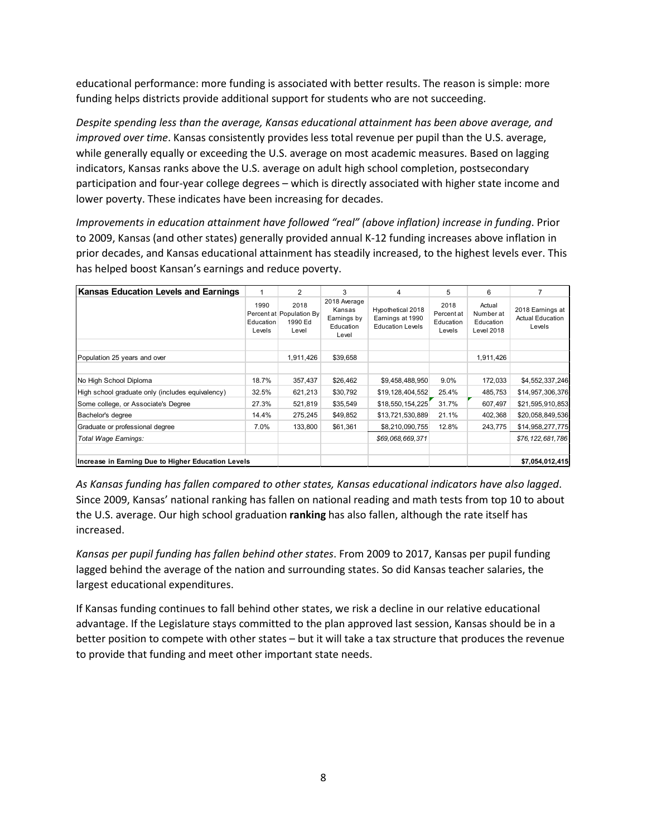educational performance: more funding is associated with better results. The reason is simple: more funding helps districts provide additional support for students who are not succeeding.

*Despite spending less than the average, Kansas educational attainment has been above average, and improved over time*. Kansas consistently provides less total revenue per pupil than the U.S. average, while generally equally or exceeding the U.S. average on most academic measures. Based on lagging indicators, Kansas ranks above the U.S. average on adult high school completion, postsecondary participation and four-year college degrees – which is directly associated with higher state income and lower poverty. These indicates have been increasing for decades.

*Improvements in education attainment have followed "real" (above inflation) increase in funding*. Prior to 2009, Kansas (and other states) generally provided annual K-12 funding increases above inflation in prior decades, and Kansas educational attainment has steadily increased, to the highest levels ever. This has helped boost Kansan's earnings and reduce poverty.

| <b>Kansas Education Levels and Earnings</b>        |                             | $\overline{2}$                                       | 3                                                           | 4                                                                | 5                                         | 6                                              |                                                       |
|----------------------------------------------------|-----------------------------|------------------------------------------------------|-------------------------------------------------------------|------------------------------------------------------------------|-------------------------------------------|------------------------------------------------|-------------------------------------------------------|
|                                                    | 1990<br>Education<br>Levels | 2018<br>Percent at Population By<br>1990 Ed<br>Level | 2018 Average<br>Kansas<br>Earnings by<br>Education<br>Level | Hypothetical 2018<br>Earnings at 1990<br><b>Education Levels</b> | 2018<br>Percent at<br>Education<br>Levels | Actual<br>Number at<br>Education<br>Level 2018 | 2018 Earnings at<br><b>Actual Education</b><br>Levels |
|                                                    |                             |                                                      |                                                             |                                                                  |                                           |                                                |                                                       |
| Population 25 years and over                       |                             | 1,911,426                                            | \$39,658                                                    |                                                                  |                                           | 1,911,426                                      |                                                       |
| No High School Diploma                             | 18.7%                       | 357,437                                              | \$26,462                                                    | \$9,458,488,950                                                  | 9.0%                                      | 172,033                                        | \$4,552,337,246                                       |
| High school graduate only (includes equivalency)   | 32.5%                       | 621,213                                              | \$30,792                                                    | \$19,128,404,552                                                 | 25.4%                                     | 485,753                                        | \$14,957,306,376                                      |
| Some college, or Associate's Degree                | 27.3%                       | 521,819                                              | \$35,549                                                    | \$18,550,154,225                                                 | 31.7%                                     | 607,497                                        | \$21,595,910,853                                      |
| Bachelor's degree                                  | 14.4%                       | 275,245                                              | \$49,852                                                    | \$13,721,530,889                                                 | 21.1%                                     | 402,368                                        | \$20,058,849,536                                      |
| Graduate or professional degree                    | 7.0%                        | 133,800                                              | \$61,361                                                    | \$8,210,090,755                                                  | 12.8%                                     | 243,775                                        | \$14,958,277,775                                      |
| Total Wage Earnings:                               |                             |                                                      |                                                             | \$69,068,669,371                                                 |                                           |                                                | \$76,122,681,786                                      |
| Increase in Earning Due to Higher Education Levels |                             |                                                      |                                                             |                                                                  |                                           | \$7,054,012,415                                |                                                       |

*As Kansas funding has fallen compared to other states, Kansas educational indicators have also lagged*. Since 2009, Kansas' national ranking has fallen on national reading and math tests from top 10 to about the U.S. average. Our high school graduation **ranking** has also fallen, although the rate itself has increased.

*Kansas per pupil funding has fallen behind other states*. From 2009 to 2017, Kansas per pupil funding lagged behind the average of the nation and surrounding states. So did Kansas teacher salaries, the largest educational expenditures.

If Kansas funding continues to fall behind other states, we risk a decline in our relative educational advantage. If the Legislature stays committed to the plan approved last session, Kansas should be in a better position to compete with other states – but it will take a tax structure that produces the revenue to provide that funding and meet other important state needs.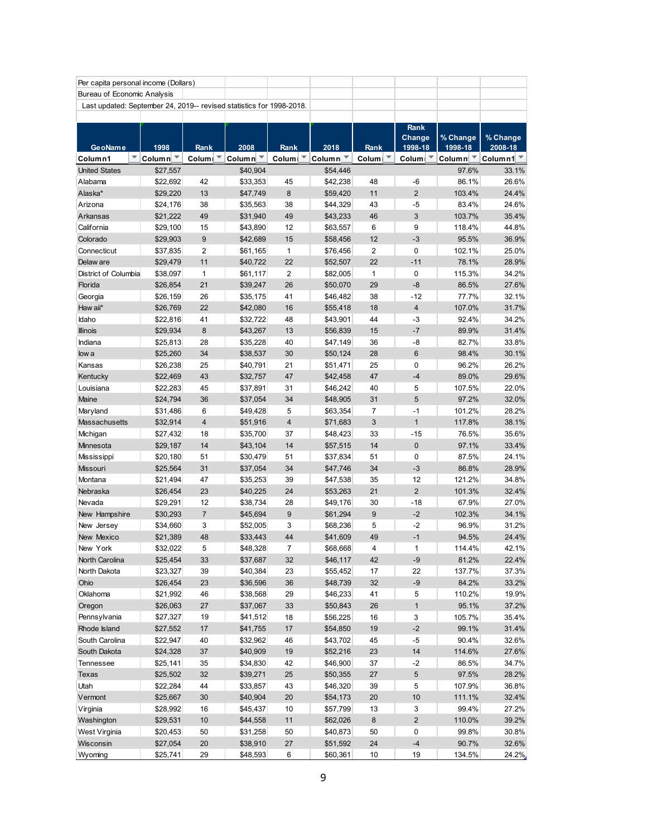| Per capita personal income (Dollars)                                 |                    |                |                                 |                    |                                 |                   |                |              |                |
|----------------------------------------------------------------------|--------------------|----------------|---------------------------------|--------------------|---------------------------------|-------------------|----------------|--------------|----------------|
| Bureau of Economic Analysis                                          |                    |                |                                 |                    |                                 |                   |                |              |                |
| Last updated: September 24, 2019-- revised statistics for 1998-2018. |                    |                |                                 |                    |                                 |                   |                |              |                |
|                                                                      |                    |                |                                 |                    |                                 |                   |                |              |                |
|                                                                      |                    |                |                                 |                    |                                 |                   | Rank           |              |                |
|                                                                      |                    |                |                                 |                    |                                 |                   | Change         | % Change     | % Change       |
| GeoName                                                              | 1998               | Rank           | 2008                            | Rank               | 2018                            | Rank              | 1998-18        | 1998-18      | 2008-18        |
| ▼<br>Column1                                                         | Column $\sqrt{\ }$ | Columi         | Column $\overline{\phantom{a}}$ | Colum <sub>1</sub> | Column $\overline{\phantom{a}}$ | Colum $\sqrt{\ }$ | <b>Columi</b>  | Τ<br>Column! | Column1 $\top$ |
| <b>United States</b>                                                 | \$27,557           |                | \$40,904                        |                    | \$54,446                        |                   |                | 97.6%        | 33.1%          |
| Alabama                                                              | \$22,692           | 42             | \$33,353                        | 45                 | \$42,238                        | 48                | -6             | 86.1%        | 26.6%          |
| Alaska*                                                              | \$29,220           | 13             | \$47,749                        | 8                  | \$59,420                        | 11                | $\overline{2}$ | 103.4%       | 24.4%          |
| Arizona                                                              | \$24,176           | 38             | \$35,563                        | 38                 | \$44,329                        | 43                | $-5$           | 83.4%        | 24.6%          |
| Arkansas                                                             | \$21,222           | 49             | \$31,940                        | 49                 | \$43,233                        | 46                | $\sqrt{3}$     | 103.7%       | 35.4%          |
| California                                                           | \$29,100           | 15             | \$43,890                        | 12                 | \$63,557                        | 6                 | 9              | 118.4%       | 44.8%          |
| Colorado                                                             | \$29,903           | $9\,$          | \$42,689                        | 15                 | \$58,456                        | 12                | $-3$           | 95.5%        | 36.9%          |
| Connecticut                                                          | \$37,835           | $\overline{2}$ | \$61,165                        | $\mathbf{1}$       | \$76,456                        | $\overline{2}$    | $\mathbf 0$    | 102.1%       | 25.0%          |
| Delaw are                                                            | \$29,479           | 11             | \$40,722                        | 22                 | \$52,507                        | 22                | $-11$          | 78.1%        | 28.9%          |
| District of Columbia                                                 | \$38,097           | $\mathbf{1}$   | \$61,117                        | $\overline{2}$     | \$82,005                        | $\mathbf{1}$      | 0              | 115.3%       | 34.2%          |
| Florida                                                              | \$26,854           | 21             | \$39,247                        | 26                 | \$50,070                        | 29                | -8             | 86.5%        | 27.6%          |
| Georgia                                                              | \$26,159           | 26             | \$35,175                        | 41                 | \$46,482                        | 38                | $-12$          | 77.7%        | 32.1%          |
| Haw aii*                                                             | \$26,769           | 22             | \$42,080                        | 16                 | \$55,418                        | 18                | $\overline{4}$ | 107.0%       | 31.7%          |
| Idaho                                                                | \$22,816           | 41             | \$32,722                        | 48                 | \$43,901                        | 44                | $-3$           | 92.4%        | 34.2%          |
| <b>Illinois</b>                                                      | \$29,934           | 8              | \$43,267                        | 13                 | \$56,839                        | 15                | $-7$           | 89.9%        | 31.4%          |
| Indiana                                                              | \$25,813           | 28             | \$35,228                        | 40                 | \$47,149                        | 36                | -8             | 82.7%        | 33.8%          |
| low a                                                                | \$25,260           | 34             | \$38,537                        | 30                 | \$50,124                        | 28                | $\,6\,$        | 98.4%        | 30.1%          |
| Kansas                                                               | \$26,238           | 25             | \$40,791                        | 21                 | \$51,471                        | 25                | 0              | 96.2%        | 26.2%          |
| Kentucky                                                             | \$22,469           | 43             | \$32,757                        | 47                 | \$42,458                        | 47                | $-4$           | 89.0%        | 29.6%          |
| Louisiana                                                            | \$22,283           | 45             | \$37,891                        | 31                 | \$46,242                        | 40                | 5              | 107.5%       | 22.0%          |
| Maine                                                                | \$24,794           | 36             | \$37,054                        | 34                 | \$48,905                        | 31                | 5              | 97.2%        | 32.0%          |
| Maryland                                                             | \$31,486           | 6              | \$49,428                        | 5                  | \$63,354                        | 7                 | $-1$           | 101.2%       | 28.2%          |
| Massachusetts                                                        | \$32,914           | $\overline{4}$ | \$51,916                        | $\overline{4}$     | \$71,683                        | 3                 | $\mathbf{1}$   | 117.8%       | 38.1%          |
| Michigan                                                             | \$27,432           | 18             | \$35,700                        | 37                 | \$48,423                        | 33                | $-15$          | 76.5%        | 35.6%          |
| Minnesota                                                            | \$29,187           | 14             | \$43,104                        | 14                 | \$57,515                        | 14                | $\pmb{0}$      | 97.1%        | 33.4%          |
| Mississippi                                                          | \$20,180           | 51             | \$30,479                        | 51                 | \$37,834                        | 51                | 0              | 87.5%        | 24.1%          |
| <b>Missouri</b>                                                      | \$25,564           | 31             | \$37,054                        | 34                 | \$47,746                        | 34                | $-3$           | 86.8%        | 28.9%          |
| Montana                                                              | \$21,494           | 47             | \$35,253                        | 39                 | \$47,538                        | 35                | 12             | 121.2%       | 34.8%          |
| Nebraska                                                             | \$26,454           | 23             | \$40,225                        | 24                 | \$53,263                        | 21                | $\overline{2}$ | 101.3%       | 32.4%          |
| Nevada                                                               | \$29,291           | 12             | \$38,734                        | 28                 | \$49,176                        | 30                | $-18$          | 67.9%        | 27.0%          |
| New Hampshire                                                        | \$30,293           | $\overline{7}$ | \$45,694                        | $9\,$              | \$61,294                        | $9\,$             | $-2$           | 102.3%       | 34.1%          |
| New Jersey                                                           | \$34,660           | 3              | \$52,005                        | 3                  | \$68,236                        | 5                 | $-2$           | 96.9%        | 31.2%          |
| New Mexico                                                           | \$21,389           | 48             | \$33,443                        | 44                 | \$41,609                        | 49                | $-1$           | 94.5%        | 24.4%          |
| New York                                                             | \$32,022           | 5              | \$48,328                        | 7                  | \$68,668                        | 4                 | 1              | 114.4%       | 42.1%          |
| North Carolina                                                       | \$25,454           | 33             | \$37,687                        | 32                 | \$46,117                        | 42                | -9             | 81.2%        | 22.4%          |
| North Dakota                                                         | \$23,327           | 39             | \$40,384                        | 23                 | \$55,452                        | 17                | 22             | 137.7%       | 37.3%          |
| Ohio                                                                 | \$26,454           | 23             | \$36,596                        | 36                 | \$48,739                        | 32                | $-9$           | 84.2%        | 33.2%          |
| Oklahoma                                                             | \$21,992           | 46             | \$38,568                        | 29                 | \$46,233                        | 41                | 5              | 110.2%       | 19.9%          |
| Oregon                                                               | \$26,063           | 27             | \$37,067                        | 33                 | \$50,843                        | 26                | $\mathbf{1}$   | 95.1%        | 37.2%          |
| Pennsylvania                                                         | \$27,327           | 19             | \$41,512                        | 18                 | \$56,225                        | 16                | 3              | 105.7%       | 35.4%          |
| Rhode Island                                                         | \$27,552           | 17             | \$41,755                        | 17                 | \$54,850                        | 19                | $-2$           | 99.1%        | 31.4%          |
| South Carolina                                                       | \$22,947           | 40             | \$32,962                        | 46                 | \$43,702                        | 45                | $-5$           | 90.4%        | 32.6%          |
| South Dakota                                                         | \$24,328           | 37             | \$40,909                        | 19                 | \$52,216                        | 23                | 14             | 114.6%       | 27.6%          |
| Tennessee                                                            | \$25,141           | 35             | \$34,830                        | 42                 | \$46,900                        | 37                | $-2$           | 86.5%        | 34.7%          |
| Texas                                                                | \$25,502           | 32             | \$39,271                        | 25                 | \$50,355                        | 27                | $\,$ 5 $\,$    | 97.5%        | 28.2%          |
| Utah                                                                 | \$22,284           | 44             | \$33,857                        | 43                 | \$46,320                        | 39                | 5              | 107.9%       | 36.8%          |
| Vermont                                                              | \$25,667           | 30             | \$40,904                        | 20                 | \$54,173                        | 20                | 10             | 111.1%       | 32.4%          |
| Virginia                                                             | \$28,992           | 16             | \$45,437                        | 10                 | \$57,799                        | 13                | 3              | 99.4%        | 27.2%          |
| Washington                                                           | \$29,531           | 10             | \$44,558                        | 11                 | \$62,026                        | $\bf 8$           | $\overline{c}$ | 110.0%       | 39.2%          |
| West Virginia                                                        | \$20,453           | 50             | \$31,258                        | 50                 | \$40,873                        | 50                | 0              | 99.8%        | 30.8%          |
| Wisconsin                                                            | \$27,054           | 20             | \$38,910                        | 27                 | \$51,592                        | 24                | $-4$           | 90.7%        | 32.6%          |
| Wyoming                                                              | \$25,741           | 29             | \$48,593                        | 6                  | \$60,361                        | 10                | 19             | 134.5%       | 24.2%          |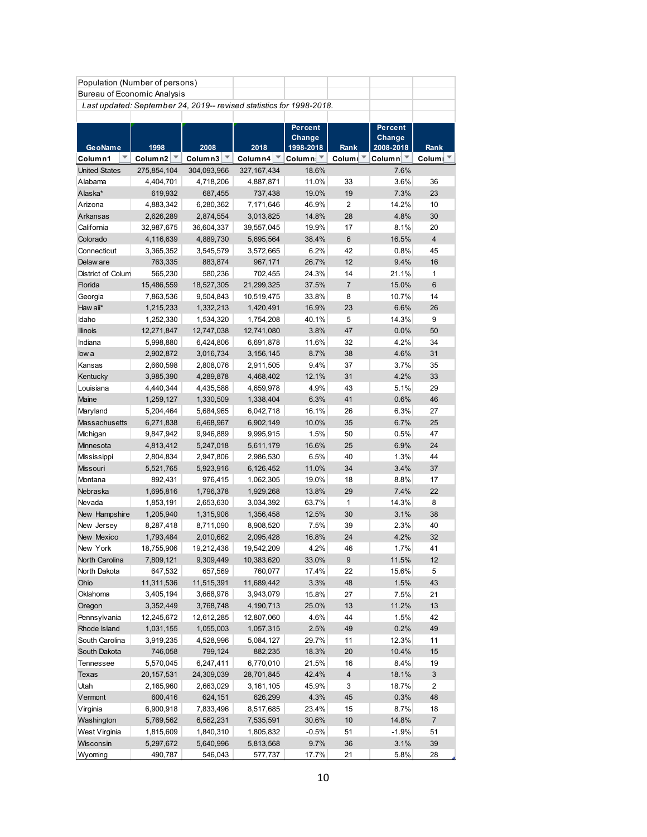|                                                                      | Bureau of Economic Analysis      |                                  |                         |                    |                |                     |                    |
|----------------------------------------------------------------------|----------------------------------|----------------------------------|-------------------------|--------------------|----------------|---------------------|--------------------|
| Last updated: September 24, 2019-- revised statistics for 1998-2018. |                                  |                                  |                         |                    |                |                     |                    |
|                                                                      |                                  |                                  |                         | Percent            |                |                     |                    |
|                                                                      |                                  |                                  |                         | Change             |                | <b>Percent</b>      |                    |
| <b>GeoName</b>                                                       | 1998                             | 2008                             | 2018                    | 1998-2018          | Rank           | Change<br>2008-2018 | Rank               |
| ▼                                                                    | Column2 $\overline{\phantom{a}}$ | Column3 $\overline{\phantom{a}}$ | Column4 $\mathbb{Z}$    | Column $\sqrt{\ }$ | Colum   T      | Column $\mathbb{Z}$ |                    |
| Column1                                                              |                                  |                                  |                         |                    |                |                     | Colum <sup>1</sup> |
| <b>United States</b>                                                 | 275,854,104                      | 304,093,966                      | 327, 167, 434           | 18.6%              |                | 7.6%                |                    |
| Alabama                                                              | 4,404,701                        | 4,718,206                        | 4,887,871               | 11.0%              | 33             | 3.6%                | 36                 |
| Alaska*                                                              | 619,932                          | 687,455                          | 737,438                 | 19.0%              | 19             | 7.3%                | 23                 |
| Arizona                                                              | 4,883,342                        | 6,280,362                        | 7,171,646               | 46.9%              | 2              | 14.2%               | 10                 |
| Arkansas                                                             | 2,626,289                        | 2,874,554                        | 3,013,825               | 14.8%              | 28             | 4.8%                | 30                 |
| California                                                           | 32,987,675                       | 36,604,337                       | 39,557,045              | 19.9%              | 17             | 8.1%                | 20                 |
| Colorado                                                             | 4,116,639                        | 4,889,730                        | 5,695,564               | 38.4%              | $6\phantom{a}$ | 16.5%               | $\overline{4}$     |
| Connecticut                                                          | 3,365,352                        | 3,545,579                        | 3,572,665               | 6.2%               | 42             | 0.8%                | 45                 |
| Delaw are                                                            | 763,335                          | 883,874                          | 967,171                 | 26.7%              | 12             | 9.4%                | 16                 |
| District of Colum                                                    | 565,230                          | 580,236                          | 702,455                 | 24.3%              | 14             | 21.1%               | 1                  |
| Florida                                                              | 15,486,559                       | 18,527,305                       | 21,299,325              | 37.5%              | $\overline{7}$ | 15.0%               | 6                  |
| Georgia                                                              | 7,863,536                        | 9,504,843                        | 10,519,475              | 33.8%              | 8              | 10.7%               | 14                 |
| Haw aii*                                                             | 1,215,233                        | 1,332,213                        | 1,420,491               | 16.9%              | 23             | 6.6%                | 26                 |
| Idaho                                                                | 1,252,330                        | 1,534,320                        | 1,754,208               | 40.1%              | 5              | 14.3%               | 9                  |
| <b>Illinois</b>                                                      | 12,271,847                       | 12,747,038                       | 12,741,080              | 3.8%               | 47             | 0.0%                | 50                 |
| Indiana                                                              | 5,998,880                        | 6,424,806                        | 6,691,878               | 11.6%              | 32             | 4.2%                | 34                 |
| low a                                                                | 2,902,872                        | 3,016,734                        | 3,156,145               | 8.7%               | 38             | 4.6%                | 31                 |
| Kansas                                                               | 2,660,598                        | 2,808,076                        | 2,911,505               | 9.4%               | 37             | 3.7%                | 35                 |
| Kentucky                                                             | 3,985,390                        | 4,289,878                        | 4,468,402               | 12.1%              | 31             | 4.2%                | 33                 |
| Louisiana                                                            | 4,440,344                        | 4,435,586                        | 4,659,978               | 4.9%               | 43             | 5.1%                | 29                 |
| Maine                                                                | 1,259,127                        | 1,330,509                        | 1,338,404               | 6.3%               | 41             | 0.6%                | 46                 |
| Maryland                                                             | 5,204,464                        | 5,684,965                        | 6,042,718               | 16.1%              | 26             | 6.3%                | 27                 |
| Massachusetts                                                        | 6,271,838                        | 6,468,967                        | 6,902,149               | 10.0%              | 35             | 6.7%                | 25                 |
| Michigan                                                             | 9,847,942                        | 9,946,889                        | 9,995,915               | 1.5%               | 50             | 0.5%                | 47                 |
| Minnesota                                                            | 4,813,412                        | 5,247,018                        | 5,611,179               | 16.6%              | 25             | 6.9%                | 24                 |
| Mississippi                                                          | 2,804,834                        | 2,947,806                        | 2,986,530               | 6.5%               | 40             | 1.3%                | 44                 |
| <b>Missouri</b>                                                      | 5,521,765                        | 5,923,916                        | 6,126,452               | 11.0%              | 34             | 3.4%                | 37                 |
| Montana                                                              | 892,431                          | 976,415                          | 1,062,305               | 19.0%              | 18             | 8.8%                | 17                 |
| Nebraska                                                             | 1,695,816                        | 1,796,378                        | 1,929,268               | 13.8%              | 29             | 7.4%                | 22                 |
| Nevada                                                               | 1,853,191                        | 2,653,630                        | 3,034,392               | 63.7%              | 1              | 14.3%               | 8                  |
| New Hampshire                                                        | 1,205,940                        | 1,315,906                        | 1,356,458               | 12.5%              | 30             | 3.1%                | 38                 |
| New Jersey                                                           | 8,287,418                        | 8,711,090                        | 8,908,520               | 7.5%               | 39             | 2.3%                | 40                 |
| New Mexico                                                           | 1,793,484                        | 2,010,662                        | 2,095,428               | 16.8%              | 24             | 4.2%                | 32                 |
| New York                                                             | 18,755,906                       | 19,212,436                       | 19,542,209              | 4.2%               | 46             | 1.7%                | 41                 |
| North Carolina                                                       | 7,809,121                        | 9,309,449                        | 10,383,620              | 33.0%              | 9              | 11.5%               | 12                 |
| North Dakota                                                         | 647,532                          | 657,569                          | 760,077                 | 17.4%              | 22             | 15.6%               | 5                  |
| Ohio                                                                 | 11,311,536                       | 11,515,391                       | 11,689,442              | 3.3%               | 48             | 1.5%                | 43                 |
| Oklahoma                                                             | 3,405,194                        | 3,668,976                        | 3,943,079               | 15.8%              | 27             | 7.5%                | 21                 |
| Oregon                                                               |                                  | 3,768,748                        | 4,190,713               | 25.0%              | 13             | 11.2%               | 13                 |
| Pennsylvania                                                         | 3,352,449                        |                                  |                         |                    | 44             |                     |                    |
| Rhode Island                                                         | 12,245,672<br>1,031,155          | 12,612,285<br>1,055,003          | 12,807,060<br>1,057,315 | 4.6%<br>2.5%       | 49             | 1.5%<br>0.2%        | 42<br>49           |
|                                                                      |                                  |                                  |                         |                    |                |                     |                    |
| South Carolina                                                       | 3,919,235                        | 4,528,996                        | 5,084,127               | 29.7%              | 11             | 12.3%               | 11                 |
| South Dakota                                                         | 746,058                          | 799,124                          | 882,235                 | 18.3%              | 20             | 10.4%               | 15                 |
| Tennessee                                                            | 5,570,045                        | 6,247,411                        | 6,770,010               | 21.5%              | 16             | 8.4%                | 19                 |
| Texas                                                                | 20, 157, 531                     | 24,309,039                       | 28,701,845              | 42.4%              | $\overline{4}$ | 18.1%               | $\mathfrak{S}$     |
| Utah                                                                 | 2,165,960                        | 2,663,029                        | 3,161,105               | 45.9%              | 3              | 18.7%               | 2                  |
| Vermont                                                              | 600,416                          | 624,151                          | 626,299                 | 4.3%               | 45             | 0.3%                | 48                 |
| Virginia                                                             | 6,900,918                        | 7,833,496                        | 8,517,685               | 23.4%              | 15             | 8.7%                | 18                 |
| Washington                                                           | 5,769,562                        | 6,562,231                        | 7,535,591               | 30.6%              | $10$           | 14.8%               | $\overline{7}$     |
| West Virginia                                                        | 1,815,609                        | 1,840,310                        | 1,805,832               | $-0.5%$            | 51             | $-1.9%$             | 51                 |
| Wisconsin                                                            | 5,297,672                        | 5,640,996                        | 5,813,568               | 9.7%               | 36             | 3.1%                | 39                 |
| Wyoming                                                              | 490,787                          | 546,043                          | 577,737                 | 17.7%              | 21             | 5.8%                | 28                 |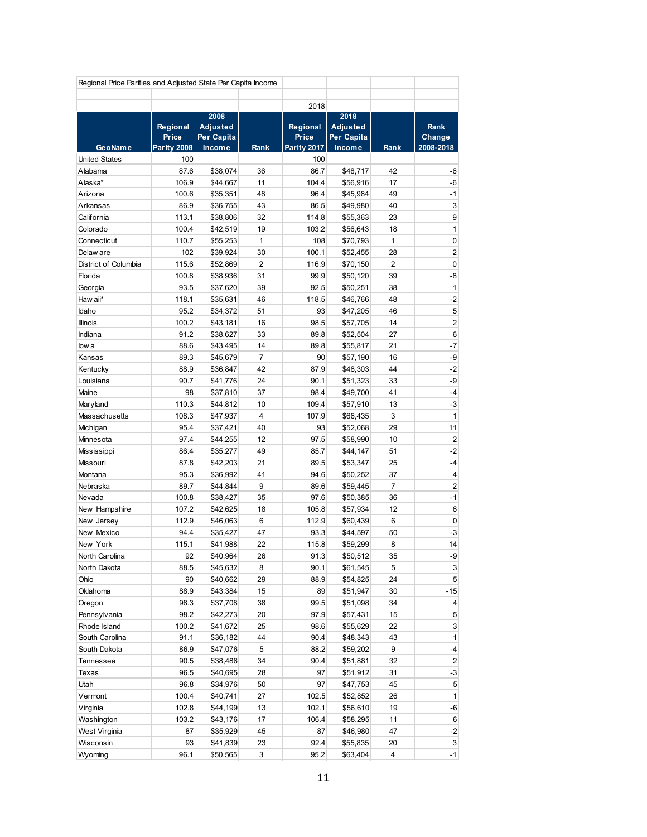|                      |                                  |                                                 |                | 2018                                    |                                                 |                |                             |
|----------------------|----------------------------------|-------------------------------------------------|----------------|-----------------------------------------|-------------------------------------------------|----------------|-----------------------------|
| <b>GeoName</b>       | Regional<br>Price<br>Parity 2008 | 2008<br><b>Adjusted</b><br>Per Capita<br>Income | Rank           | Regional<br><b>Price</b><br>Parity 2017 | 2018<br><b>Adjusted</b><br>Per Capita<br>Income | Rank           | Rank<br>Change<br>2008-2018 |
| <b>United States</b> | 100                              |                                                 |                | 100                                     |                                                 |                |                             |
| Alabama              | 87.6                             | \$38,074                                        | 36             | 86.7                                    | \$48,717                                        | 42             | -6                          |
| Alaska*              | 106.9                            | \$44,667                                        | 11             | 104.4                                   | \$56,916                                        | 17             | -6                          |
| Arizona              | 100.6                            | \$35,351                                        | 48             | 96.4                                    | \$45,984                                        | 49             | $-1$                        |
| Arkansas             | 86.9                             | \$36,755                                        | 43             | 86.5                                    | \$49,980                                        | 40             | 3                           |
| California           | 113.1                            | \$38,806                                        | 32             | 114.8                                   | \$55,363                                        | 23             | 9                           |
| Colorado             | 100.4                            | \$42,519                                        | 19             | 103.2                                   | \$56,643                                        | 18             | 1                           |
| Connecticut          | 110.7                            | \$55,253                                        | 1              | 108                                     | \$70,793                                        | 1              | 0                           |
| Delaw are            | 102                              | \$39,924                                        | 30             | 100.1                                   | \$52,455                                        | 28             | $\overline{c}$              |
| District of Columbia | 115.6                            | \$52,869                                        | $\overline{c}$ | 116.9                                   | \$70,150                                        | $\overline{2}$ | 0                           |
| Florida              | 100.8                            | \$38,936                                        | 31             | 99.9                                    | \$50,120                                        | 39             | -8                          |
| Georgia              | 93.5                             | \$37,620                                        | 39             | 92.5                                    | \$50,251                                        | 38             | $\mathbf{1}$                |
| Haw aii*             | 118.1                            | \$35,631                                        | 46             | 118.5                                   | \$46,766                                        | 48             | $-2$                        |
| Idaho                | 95.2                             | \$34,372                                        | 51             | 93                                      | \$47,205                                        | 46             | 5                           |
| <b>Illinois</b>      | 100.2                            | \$43,181                                        | 16             | 98.5                                    | \$57,705                                        | 14             | $\overline{2}$              |
| Indiana              | 91.2                             | \$38,627                                        | 33             | 89.8                                    | \$52,504                                        | 27             | $\,6$                       |
| low a                | 88.6                             | \$43,495                                        | 14             | 89.8                                    | \$55,817                                        | 21             | $-7$                        |
| Kansas               | 89.3                             | \$45,679                                        | $\overline{7}$ | 90                                      | \$57,190                                        | 16             | -9                          |
| Kentucky             | 88.9                             | \$36,847                                        | 42             | 87.9                                    | \$48,303                                        | 44             | $-2$                        |
| Louisiana            | 90.7                             | \$41,776                                        | 24             | 90.1                                    | \$51,323                                        | 33             | -9                          |
| Maine                | 98                               | \$37,810                                        | 37             | 98.4                                    | \$49,700                                        | 41             | $-4$                        |
| Maryland             | 110.3                            | \$44,812                                        | 10             | 109.4                                   | \$57,910                                        | 13             | $-3$                        |
| Massachusetts        | 108.3                            | \$47,937                                        | 4              | 107.9                                   | \$66,435                                        | 3              | 1                           |
| Michigan             | 95.4                             | \$37,421                                        | 40             | 93                                      | \$52,068                                        | 29             | 11                          |
| Minnesota            | 97.4                             | \$44,255                                        | 12             | 97.5                                    | \$58,990                                        | 10             | $\overline{2}$              |
| Mississippi          | 86.4                             | \$35,277                                        | 49             | 85.7                                    | \$44,147                                        | 51             | $-2$                        |
| <b>Missouri</b>      | 87.8                             | \$42,203                                        | 21             | 89.5                                    | \$53,347                                        | 25             | $-4$                        |
| Montana              | 95.3                             | \$36,992                                        | 41             | 94.6                                    | \$50,252                                        | 37             | $\overline{4}$              |
| Nebraska             | 89.7                             | \$44,844                                        | 9              | 89.6                                    | \$59,445                                        | $\overline{7}$ | $\overline{2}$              |
| Nevada               | 100.8                            | \$38,427                                        | 35             | 97.6                                    | \$50,385                                        | 36             | -1                          |
| New Hampshire        | 107.2                            | \$42,625                                        | 18             | 105.8                                   | \$57,934                                        | 12             | 6                           |
| New Jersey           | 112.9                            | \$46,063                                        | 6              | 112.9                                   | \$60,439                                        | 6              | 0                           |
| New Mexico           | 94.4                             | \$35,427                                        | 47             | 93.3                                    | \$44,597                                        | 50             | -3                          |
| New York             | 115.1                            | \$41,988                                        | 22             | 115.8                                   | \$59,299                                        | 8              | 14                          |
| North Carolina       | 92                               | \$40,964                                        | 26             | 91.3                                    | \$50,512                                        | 35             | -9                          |
| North Dakota         | 88.5                             | \$45,632                                        | 8              | 90.1                                    | \$61,545                                        | 5              | 3                           |
| Ohio                 | 90                               | \$40,662                                        | 29             | 88.9                                    | \$54,825                                        | 24             | 5                           |
| Oklahoma             | 88.9                             | \$43,384                                        | 15             | 89                                      | \$51,947                                        | 30             | $-15$                       |
| Oregon               | 98.3                             | \$37,708                                        | 38             | 99.5                                    | \$51,098                                        | 34             | 4                           |
| Pennsylvania         | 98.2                             | \$42,273                                        | 20             | 97.9                                    | \$57,431                                        | 15             | 5                           |
| Rhode Island         | 100.2                            | \$41,672                                        | 25             | 98.6                                    | \$55,629                                        | 22             | 3                           |
| South Carolina       | 91.1                             | \$36,182                                        | 44             | 90.4                                    | \$48,343                                        | 43             | 1                           |
| South Dakota         | 86.9                             | \$47,076                                        | 5              | 88.2                                    | \$59,202                                        | 9              | -4                          |
| Tennessee            | 90.5                             | \$38,486                                        | 34             | 90.4                                    | \$51,881                                        | 32             | $\overline{\mathbf{c}}$     |
| Texas                | 96.5                             | \$40,695                                        | 28             | 97                                      |                                                 | 31             | $-3$                        |
| Utah                 | 96.8                             |                                                 | 50             | 97                                      | \$51,912                                        | 45             | 5                           |
|                      |                                  | \$34,976                                        |                |                                         | \$47,753                                        |                |                             |
| Vermont              | 100.4                            | \$40,741                                        | 27             | 102.5                                   | \$52,852                                        | 26<br>19       | 1<br>-6                     |
| Virginia             | 102.8                            | \$44,199                                        | 13             | 102.1                                   | \$56,610                                        |                |                             |
| Washington           | 103.2                            | \$43,176                                        | 17             | 106.4                                   | \$58,295                                        | 11             | 6                           |
| West Virginia        | 87                               | \$35,929                                        | 45             | 87                                      | \$46,980                                        | 47             | -2                          |
| Wisconsin            | 93                               | \$41,839                                        | 23             | 92.4                                    | \$55,835                                        | 20             | $\ensuremath{\mathsf{3}}$   |